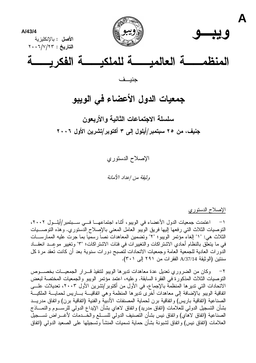

## جمعيات الدول الأعضاء في الويبو

سلسلة الاجتماعات الثانية والأربعون جنیف، من ۲۰ سبتمبر/ایلول إلی ۳ اکتوبر/تشرین الأول ۲۰۰۲

> الإصلاح الدستوري وثبقة من إعداد الأمانة

> > الإصلاح الدستوري

1− اعتمدت جمعيات الدول الأعضاء في الويبو، أثناء اجتماعهـــا فـــي ســـبتمبر/أيلـــول ٢٠٠٢، النَّوصيات الثَّلاث الَّتي رفعها الِّيها فريق الويبو العامل المعني بالإصلاح الدستوري. وهذه التوصــــيات الثلاث هي: "١" الغاء مؤتمر الويبو ؛ "٢" وتضمين المعاهدات نصا رسميا بما جرت عليه الممارســـات في ما يتعلق بالنظام أحادي الاشتراكات والتغييرات في فئات الاشتراكات؛ "٣" وتغيير موعــد انعقـــاد الدورات العادية للجمعية العامة وجمعيات الاتحادات لتصبح دورات سنوية بعد أن كانت تعقد مرة كل سنتين (الوثيقة A/37/14 الفقرات من ٢٩١ إلى ٣٠١).

٢– وكان من الضروري تعديل عدة معاهدات نديرها الويبو لنتفيذ قـــرار الجمعيـــات بخصــــوص النَّوصيات الثَّلاث المذكورة في الفقرة السابقة. وعليه، اعتمد مؤتمر الويبو والجمعيات المختصة لبعض الاتحادات التي تدير ها المنظمة بالإجماع، في الأول من أكتوبر/تشرين الأول ٢٠٠٣، تعديلات علــــى اتفاقية الويبو بالإضافة إلى معاهدات أخرى تديرها المنظمة وهي اتفاقيـــة بــــاريس لحمايــــة الملكيـــة الصناعية (اتفاقية باريس) واتفاقية برن لحماية المصنفات الأدبية والفنية (اتفاقية برن) واتفاق مدريـــد بشأن التسجيل الدولي للعلامات (اتفاق مدريد) واتفاق لاهاي بشأن الإيداع الدولي للرســـوم والنمـــاذج الصناعية (اتفاق لاهاي) واتفاق نيس بشأن التصنيف الدولي للســـلـع والخـــدمات لأغــــراض تســــجيل العلامات (اتفاق نيس) واتفاق لشبونة بشأن حماية تسميات المنشأ وتسجيلها على الصعيد الدولي (اتفاق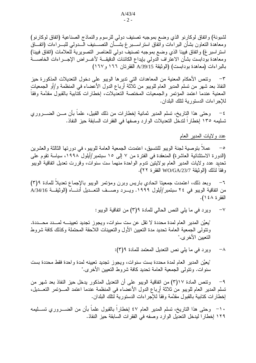لشبونة) واتفاق لوكارنو الذي وضع بموجبه تصنيف دولي للرسوم والنماذج الصناعية (اتفاق لوكارنو) ومعاهدة النعاون بشأن البراءات وآتفاق استراســبرغ بشـــأن النصـــنيف الـــدولـي للبـــراءات (انفـــاق استر اسبرغ) واتفاق فيينا الذي وضع بموجبه تصنيف دولي للعناصر التصويرية للعلامات (اتفاق فيينا) ومعاهدة بودابست بشأن الاعتراف الدولي بإيداع الكائنات الدقيقـــة لأغــــراض الإجــــراءات الخاصـــــة بالبراءات (معاهدة بودابست) (الوثيقة A/39/15 الفقرنان ١٦٦ و١٦٧)

ونتص الأحكام المعنية من المعاهدات التي نديرها الويبو على دخول التعديلات المذكورة حيز  $-\tau$ النفاذ بعد شهر من نسلم المدير العام للويبو من ثلاثة أرباع الدول الأعضاء في المنظمة و/أو الجمعيات المعنية عندما اعتمد المؤتمر والجمعيات المختصة التعديلات، إخطارات كتابية بالقبول مقدَّمة وفقا للإجر اءات الدستور بة لتلك البلدان.

وحتى هذا الناريخ، تسلم المدير ثمانية إخطارات من ذلك القبيل، علماً بأن مـــن الضــــروري  $-\xi$ تسليمه ١٣٥ إخطارا لندخل التعديلات الوارد وصفها في الفقرات السابقة حيز النفاذ.

عدد ولايات المدير العام

عملاً بنوصية لجنة الويبو للتنسيق، اعتمدت الجمعية العامة للويبو، في دورتها الثالثة والعشرين  $-\circ$ (الدورة الاستثنائية العاشرة) المنعقدة في الفترة من ٧ إلى ١٥ سبتمبر/أيلول ١٩٩٨، سياسة نقوم على تحديد عدد ولايات المدير العام بولايتين ندوم الواحدة منهما ست سنوات، وقررت تعديل اتفاقية الويبو و فقا لذلك (الو ثبقة WO/GA/23/7 الفقر ة ٢٢).

وبعد ذلك، اعتمدت جمعيتا اتحادي باريس وبرن ومؤتمر الويبو بالإجماع تعديلا للمادة ٩(٣)  $-\mathbf{1}$ من اتفاقية الويبو في ٢٤ سبتمبر/أيلول ١٩٩٩. ويـــرد وصـــف التعـــديل أدنــــاه (الوثيقـــة A/34/16 الفقر ة ٤٨ ١).

> ويرد في ما يلي النص الحالي للمادة ٣(٢) من اتفاقية الويبو:  $-\vee$

"يعيُّن المدير العام لمدة محددة لا نقل عن ست سنوات، ويجوز تجديد تعيينــــــه لمـــــدد محـــــددة. ونتولى الجمعية العامة تحديد مدة التعيين الأول والتعيينات اللاحقة المحتملة وكذلك كافة شروط التعبين الأخر ي."

> ويرد في ما يلي نص التعديل المعتمد للمادة ٩(٣):  $-\lambda$

"يعيَّن المدير العام لمدة محددة بست سنوات، ويجوز تجديد تعيينه لمدة واحدة فقط محددة بست سنوات. ونتولَّى الجمعية العامة نحديد كافة شروط التعيين الأخرى."

وتتص المادة ١٧(٣) من اتفاقية الويبو على أن التعديل المذكور يدخل حيز النفاذ بعد شهر من  $-9$ تسلم المدير العام للويبو من ثلاثة أرباع الدول الأعضاء في المنظمة عندما اعتمد المسؤتمر التعــديل، إخطارات كتابية بالقبول مقدَّمة وفقا للإجراءات الدستورية لنلك البلدان.

١٠– وحتى هذا الناريخ، تسلَّم المدير العام ٤٧ إخطاراً بالقبول علماً بأن من الضــــروري تســـليمه ١٢٩ إخطارا ليدخل التعديل الوارد وصفه في الفقرات السابقة حيز النفاذ.